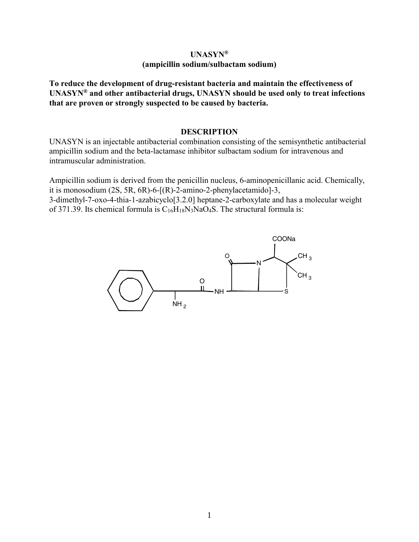### **UNASYN® (ampicillin sodium/sulbactam sodium)**

**To reduce the development of drug-resistant bacteria and maintain the effectiveness of UNASYN® and other antibacterial drugs, UNASYN should be used only to treat infections that are proven or strongly suspected to be caused by bacteria.**

#### **DESCRIPTION**

UNASYN is an injectable antibacterial combination consisting of the semisynthetic antibacterial ampicillin sodium and the beta-lactamase inhibitor sulbactam sodium for intravenous and intramuscular administration.

Ampicillin sodium is derived from the penicillin nucleus, 6-aminopenicillanic acid. Chemically, it is monosodium (2S, 5R, 6R)-6-[(R)-2-amino-2-phenylacetamido]-3,

3-dimethyl-7-oxo-4-thia-1-azabicyclo[3.2.0] heptane-2-carboxylate and has a molecular weight of 371.39. Its chemical formula is  $C_{16}H_{18}N_3NaO_4S$ . The structural formula is:

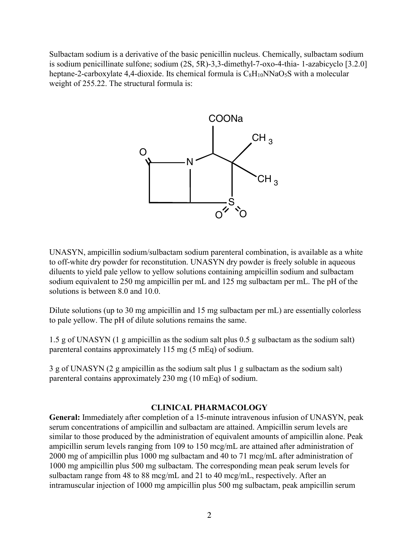Sulbactam sodium is a derivative of the basic penicillin nucleus. Chemically, sulbactam sodium is sodium penicillinate sulfone; sodium (2S, 5R)-3,3-dimethyl-7-oxo-4-thia- 1-azabicyclo [3.2.0] heptane-2-carboxylate 4,4-dioxide. Its chemical formula is  $C_8H_{10}NNaO_5S$  with a molecular weight of 255.22. The structural formula is:



UNASYN, ampicillin sodium/sulbactam sodium parenteral combination, is available as a white to off-white dry powder for reconstitution. UNASYN dry powder is freely soluble in aqueous diluents to yield pale yellow to yellow solutions containing ampicillin sodium and sulbactam sodium equivalent to 250 mg ampicillin per mL and 125 mg sulbactam per mL. The pH of the solutions is between 8.0 and 10.0.

Dilute solutions (up to 30 mg ampicillin and 15 mg sulbactam per mL) are essentially colorless to pale yellow. The pH of dilute solutions remains the same.

1.5 g of UNASYN (1 g ampicillin as the sodium salt plus 0.5 g sulbactam as the sodium salt) parenteral contains approximately 115 mg (5 mEq) of sodium.

3 g of UNASYN (2 g ampicillin as the sodium salt plus 1 g sulbactam as the sodium salt) parenteral contains approximately 230 mg (10 mEq) of sodium.

### **CLINICAL PHARMACOLOGY**

**General:** Immediately after completion of a 15-minute intravenous infusion of UNASYN, peak serum concentrations of ampicillin and sulbactam are attained. Ampicillin serum levels are similar to those produced by the administration of equivalent amounts of ampicillin alone. Peak ampicillin serum levels ranging from 109 to 150 mcg/mL are attained after administration of 2000 mg of ampicillin plus 1000 mg sulbactam and 40 to 71 mcg/mL after administration of 1000 mg ampicillin plus 500 mg sulbactam. The corresponding mean peak serum levels for sulbactam range from 48 to 88 mcg/mL and 21 to 40 mcg/mL, respectively. After an intramuscular injection of 1000 mg ampicillin plus 500 mg sulbactam, peak ampicillin serum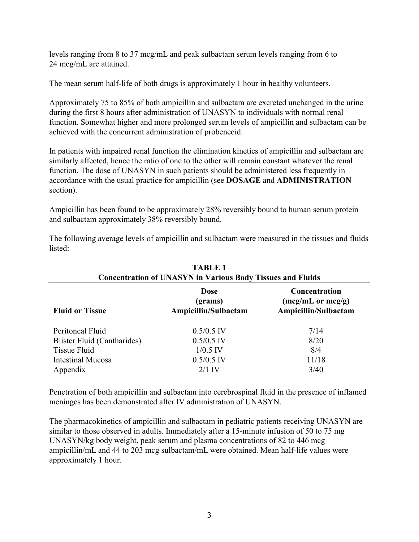levels ranging from 8 to 37 mcg/mL and peak sulbactam serum levels ranging from 6 to 24 mcg/mL are attained.

The mean serum half-life of both drugs is approximately 1 hour in healthy volunteers.

Approximately 75 to 85% of both ampicillin and sulbactam are excreted unchanged in the urine during the first 8 hours after administration of UNASYN to individuals with normal renal function. Somewhat higher and more prolonged serum levels of ampicillin and sulbactam can be achieved with the concurrent administration of probenecid.

In patients with impaired renal function the elimination kinetics of ampicillin and sulbactam are similarly affected, hence the ratio of one to the other will remain constant whatever the renal function. The dose of UNASYN in such patients should be administered less frequently in accordance with the usual practice for ampicillin (see **DOSAGE** and **ADMINISTRATION** section).

Ampicillin has been found to be approximately 28% reversibly bound to human serum protein and sulbactam approximately 38% reversibly bound.

The following average levels of ampicillin and sulbactam were measured in the tissues and fluids listed:

| Concentration of Critical Print Partous Doug Tissues and Francis |                                                                       |  |
|------------------------------------------------------------------|-----------------------------------------------------------------------|--|
| <b>Dose</b><br>(grams)<br>Ampicillin/Sulbactam                   | Concentration<br>$(mcg/mL \text{ or } mcg/g)$<br>Ampicillin/Sulbactam |  |
| $0.5/0.5$ IV                                                     | 7/14                                                                  |  |
| $0.5/0.5$ IV                                                     | 8/20                                                                  |  |
| $1/0.5$ IV                                                       | 8/4                                                                   |  |
| $0.5/0.5$ IV                                                     | 11/18                                                                 |  |
| $2/1$ IV                                                         | 3/40                                                                  |  |
|                                                                  |                                                                       |  |

| <b>TABLE 1</b>                                                    |  |  |
|-------------------------------------------------------------------|--|--|
| <b>Concentration of UNASYN in Various Body Tissues and Fluids</b> |  |  |

Penetration of both ampicillin and sulbactam into cerebrospinal fluid in the presence of inflamed meninges has been demonstrated after IV administration of UNASYN.

The pharmacokinetics of ampicillin and sulbactam in pediatric patients receiving UNASYN are similar to those observed in adults. Immediately after a 15-minute infusion of 50 to 75 mg UNASYN/kg body weight, peak serum and plasma concentrations of 82 to 446 mcg ampicillin/mL and 44 to 203 mcg sulbactam/mL were obtained. Mean half-life values were approximately 1 hour.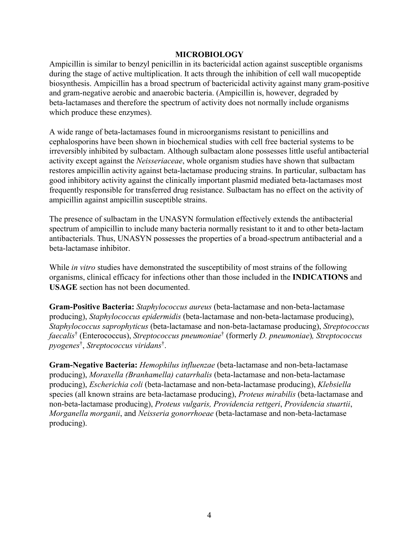### **MICROBIOLOGY**

Ampicillin is similar to benzyl penicillin in its bactericidal action against susceptible organisms during the stage of active multiplication. It acts through the inhibition of cell wall mucopeptide biosynthesis. Ampicillin has a broad spectrum of bactericidal activity against many gram-positive and gram-negative aerobic and anaerobic bacteria. (Ampicillin is, however, degraded by beta-lactamases and therefore the spectrum of activity does not normally include organisms which produce these enzymes).

A wide range of beta-lactamases found in microorganisms resistant to penicillins and cephalosporins have been shown in biochemical studies with cell free bacterial systems to be irreversibly inhibited by sulbactam. Although sulbactam alone possesses little useful antibacterial activity except against the *Neisseriaceae*, whole organism studies have shown that sulbactam restores ampicillin activity against beta-lactamase producing strains. In particular, sulbactam has good inhibitory activity against the clinically important plasmid mediated beta-lactamases most frequently responsible for transferred drug resistance. Sulbactam has no effect on the activity of ampicillin against ampicillin susceptible strains.

The presence of sulbactam in the UNASYN formulation effectively extends the antibacterial spectrum of ampicillin to include many bacteria normally resistant to it and to other beta-lactam antibacterials. Thus, UNASYN possesses the properties of a broad-spectrum antibacterial and a beta-lactamase inhibitor.

While *in vitro* studies have demonstrated the susceptibility of most strains of the following organisms, clinical efficacy for infections other than those included in the **INDICATIONS** and **USAGE** section has not been documented.

**Gram-Positive Bacteria:** *Staphylococcus aureus* (beta-lactamase and non-beta-lactamase producing), *Staphylococcus epidermidis* (beta-lactamase and non-beta-lactamase producing), *Staphylococcus saprophyticus* (beta-lactamase and non-beta-lactamase producing), *Streptococcus faecalis*† (Enterococcus), *Streptococcus pneumoniae*† (formerly *D. pneumoniae*)*, Streptococcus pyogenes*† , *Streptococcus viridans*† .

**Gram-Negative Bacteria:** *Hemophilus influenzae* (beta-lactamase and non-beta-lactamase producing), *Moraxella (Branhamella) catarrhalis* (beta-lactamase and non-beta-lactamase producing), *Escherichia coli* (beta-lactamase and non-beta-lactamase producing), *Klebsiella* species (all known strains are beta-lactamase producing), *Proteus mirabilis* (beta-lactamase and non-beta-lactamase producing), *Proteus vulgaris, Providencia rettgeri*, *Providencia stuartii*, *Morganella morganii*, and *Neisseria gonorrhoeae* (beta-lactamase and non-beta-lactamase producing).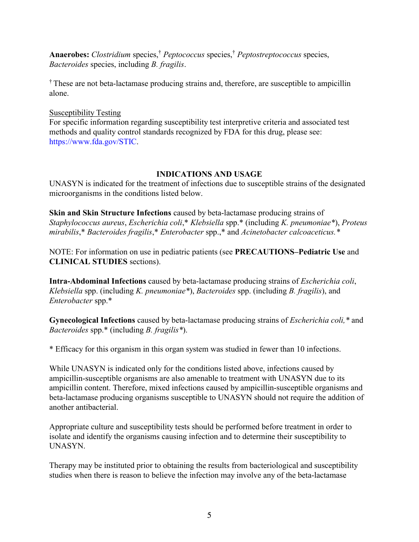**Anaerobes:** *Clostridium* species, † *Peptococcus* species, † *Peptostreptococcus* species, *Bacteroides* species, including *B. fragilis*.

† These are not beta-lactamase producing strains and, therefore, are susceptible to ampicillin alone.

# Susceptibility Testing

For specific information regarding susceptibility test interpretive criteria and associated test methods and quality control standards recognized by FDA for this drug, please see: [https://www.fda.gov/STIC.](https://www.fda.gov/STIC)

# **INDICATIONS AND USAGE**

UNASYN is indicated for the treatment of infections due to susceptible strains of the designated microorganisms in the conditions listed below.

**Skin and Skin Structure Infections** caused by beta-lactamase producing strains of *Staphylococcus aureus*, *Escherichia coli*,\* *Klebsiella* spp.\* (including *K. pneumoniae\**), *Proteus mirabilis*,\* *Bacteroides fragilis*,\* *Enterobacter* spp.,\* and *Acinetobacter calcoaceticus.\**

NOTE: For information on use in pediatric patients (see **PRECAUTIONS–Pediatric Use** and **CLINICAL STUDIES** sections).

**Intra-Abdominal Infections** caused by beta-lactamase producing strains of *Escherichia coli*, *Klebsiella* spp. (including *K. pneumoniae\**), *Bacteroides* spp. (including *B. fragilis*), and *Enterobacter* spp.\*

**Gynecological Infections** caused by beta-lactamase producing strains of *Escherichia coli,\** and *Bacteroides* spp.\* (including *B. fragilis\**).

\* Efficacy for this organism in this organ system was studied in fewer than 10 infections.

While UNASYN is indicated only for the conditions listed above, infections caused by ampicillin-susceptible organisms are also amenable to treatment with UNASYN due to its ampicillin content. Therefore, mixed infections caused by ampicillin-susceptible organisms and beta-lactamase producing organisms susceptible to UNASYN should not require the addition of another antibacterial.

Appropriate culture and susceptibility tests should be performed before treatment in order to isolate and identify the organisms causing infection and to determine their susceptibility to UNASYN.

Therapy may be instituted prior to obtaining the results from bacteriological and susceptibility studies when there is reason to believe the infection may involve any of the beta-lactamase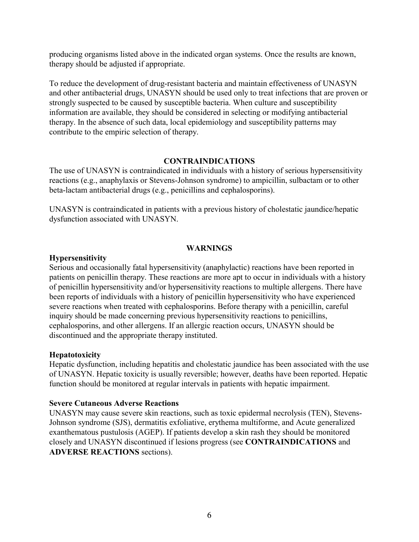producing organisms listed above in the indicated organ systems. Once the results are known, therapy should be adjusted if appropriate.

To reduce the development of drug-resistant bacteria and maintain effectiveness of UNASYN and other antibacterial drugs, UNASYN should be used only to treat infections that are proven or strongly suspected to be caused by susceptible bacteria. When culture and susceptibility information are available, they should be considered in selecting or modifying antibacterial therapy. In the absence of such data, local epidemiology and susceptibility patterns may contribute to the empiric selection of therapy.

#### **CONTRAINDICATIONS**

The use of UNASYN is contraindicated in individuals with a history of serious hypersensitivity reactions (e.g., anaphylaxis or Stevens-Johnson syndrome) to ampicillin, sulbactam or to other beta-lactam antibacterial drugs (e.g., penicillins and cephalosporins).

UNASYN is contraindicated in patients with a previous history of cholestatic jaundice/hepatic dysfunction associated with UNASYN.

### **WARNINGS**

### **Hypersensitivity**

Serious and occasionally fatal hypersensitivity (anaphylactic) reactions have been reported in patients on penicillin therapy. These reactions are more apt to occur in individuals with a history of penicillin hypersensitivity and/or hypersensitivity reactions to multiple allergens. There have been reports of individuals with a history of penicillin hypersensitivity who have experienced severe reactions when treated with cephalosporins. Before therapy with a penicillin, careful inquiry should be made concerning previous hypersensitivity reactions to penicillins, cephalosporins, and other allergens. If an allergic reaction occurs, UNASYN should be discontinued and the appropriate therapy instituted.

### **Hepatotoxicity**

Hepatic dysfunction, including hepatitis and cholestatic jaundice has been associated with the use of UNASYN. Hepatic toxicity is usually reversible; however, deaths have been reported. Hepatic function should be monitored at regular intervals in patients with hepatic impairment.

### **Severe Cutaneous Adverse Reactions**

UNASYN may cause severe skin reactions, such as toxic epidermal necrolysis (TEN), Stevens-Johnson syndrome (SJS), dermatitis exfoliative, erythema multiforme, and Acute generalized exanthematous pustulosis (AGEP). If patients develop a skin rash they should be monitored closely and UNASYN discontinued if lesions progress (see **CONTRAINDICATIONS** and **ADVERSE REACTIONS** sections).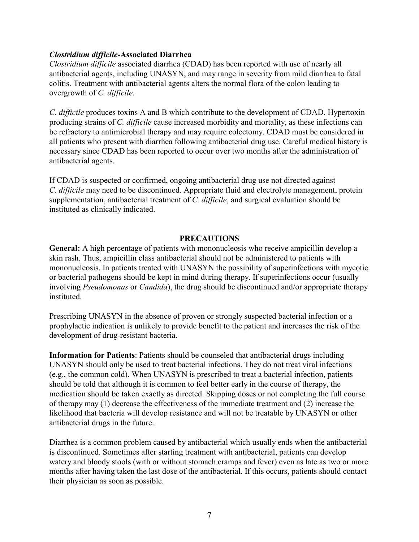### *Clostridium difficile***-Associated Diarrhea**

*Clostridium difficile* associated diarrhea (CDAD) has been reported with use of nearly all antibacterial agents, including UNASYN, and may range in severity from mild diarrhea to fatal colitis. Treatment with antibacterial agents alters the normal flora of the colon leading to overgrowth of *C. difficile*.

*C. difficile* produces toxins A and B which contribute to the development of CDAD. Hypertoxin producing strains of *C. difficile* cause increased morbidity and mortality, as these infections can be refractory to antimicrobial therapy and may require colectomy. CDAD must be considered in all patients who present with diarrhea following antibacterial drug use. Careful medical history is necessary since CDAD has been reported to occur over two months after the administration of antibacterial agents.

If CDAD is suspected or confirmed, ongoing antibacterial drug use not directed against *C. difficile* may need to be discontinued. Appropriate fluid and electrolyte management, protein supplementation, antibacterial treatment of *C. difficile*, and surgical evaluation should be instituted as clinically indicated.

### **PRECAUTIONS**

**General:** A high percentage of patients with mononucleosis who receive ampicillin develop a skin rash. Thus, ampicillin class antibacterial should not be administered to patients with mononucleosis. In patients treated with UNASYN the possibility of superinfections with mycotic or bacterial pathogens should be kept in mind during therapy. If superinfections occur (usually involving *Pseudomonas* or *Candida*), the drug should be discontinued and/or appropriate therapy instituted.

Prescribing UNASYN in the absence of proven or strongly suspected bacterial infection or a prophylactic indication is unlikely to provide benefit to the patient and increases the risk of the development of drug-resistant bacteria.

**Information for Patients**: Patients should be counseled that antibacterial drugs including UNASYN should only be used to treat bacterial infections. They do not treat viral infections (e.g., the common cold). When UNASYN is prescribed to treat a bacterial infection, patients should be told that although it is common to feel better early in the course of therapy, the medication should be taken exactly as directed. Skipping doses or not completing the full course of therapy may (1) decrease the effectiveness of the immediate treatment and (2) increase the likelihood that bacteria will develop resistance and will not be treatable by UNASYN or other antibacterial drugs in the future.

Diarrhea is a common problem caused by antibacterial which usually ends when the antibacterial is discontinued. Sometimes after starting treatment with antibacterial, patients can develop watery and bloody stools (with or without stomach cramps and fever) even as late as two or more months after having taken the last dose of the antibacterial. If this occurs, patients should contact their physician as soon as possible.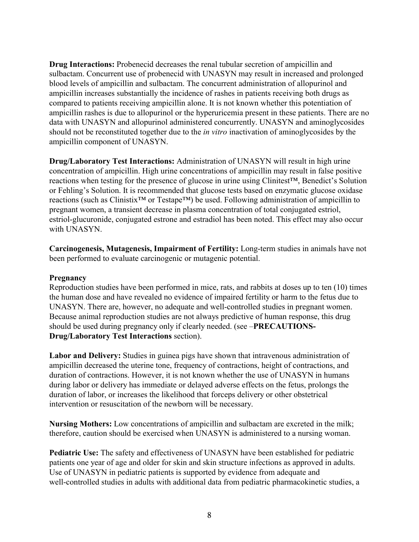**Drug Interactions:** Probenecid decreases the renal tubular secretion of ampicillin and sulbactam. Concurrent use of probenecid with UNASYN may result in increased and prolonged blood levels of ampicillin and sulbactam. The concurrent administration of allopurinol and ampicillin increases substantially the incidence of rashes in patients receiving both drugs as compared to patients receiving ampicillin alone. It is not known whether this potentiation of ampicillin rashes is due to allopurinol or the hyperuricemia present in these patients. There are no data with UNASYN and allopurinol administered concurrently. UNASYN and aminoglycosides should not be reconstituted together due to the *in vitro* inactivation of aminoglycosides by the ampicillin component of UNASYN.

**Drug/Laboratory Test Interactions:** Administration of UNASYN will result in high urine concentration of ampicillin. High urine concentrations of ampicillin may result in false positive reactions when testing for the presence of glucose in urine using Clinitest™, Benedict's Solution or Fehling's Solution. It is recommended that glucose tests based on enzymatic glucose oxidase reactions (such as Clinistix™ or Testape™) be used. Following administration of ampicillin to pregnant women, a transient decrease in plasma concentration of total conjugated estriol, estriol-glucuronide, conjugated estrone and estradiol has been noted. This effect may also occur with UNASYN.

**Carcinogenesis, Mutagenesis, Impairment of Fertility:** Long-term studies in animals have not been performed to evaluate carcinogenic or mutagenic potential.

### **Pregnancy**

Reproduction studies have been performed in mice, rats, and rabbits at doses up to ten (10) times the human dose and have revealed no evidence of impaired fertility or harm to the fetus due to UNASYN. There are, however, no adequate and well-controlled studies in pregnant women. Because animal reproduction studies are not always predictive of human response, this drug should be used during pregnancy only if clearly needed. (see –**PRECAUTIONS-Drug/Laboratory Test Interactions** section).

**Labor and Delivery:** Studies in guinea pigs have shown that intravenous administration of ampicillin decreased the uterine tone, frequency of contractions, height of contractions, and duration of contractions. However, it is not known whether the use of UNASYN in humans during labor or delivery has immediate or delayed adverse effects on the fetus, prolongs the duration of labor, or increases the likelihood that forceps delivery or other obstetrical intervention or resuscitation of the newborn will be necessary.

**Nursing Mothers:** Low concentrations of ampicillin and sulbactam are excreted in the milk; therefore, caution should be exercised when UNASYN is administered to a nursing woman.

**Pediatric Use:** The safety and effectiveness of UNASYN have been established for pediatric patients one year of age and older for skin and skin structure infections as approved in adults. Use of UNASYN in pediatric patients is supported by evidence from adequate and well-controlled studies in adults with additional data from pediatric pharmacokinetic studies, a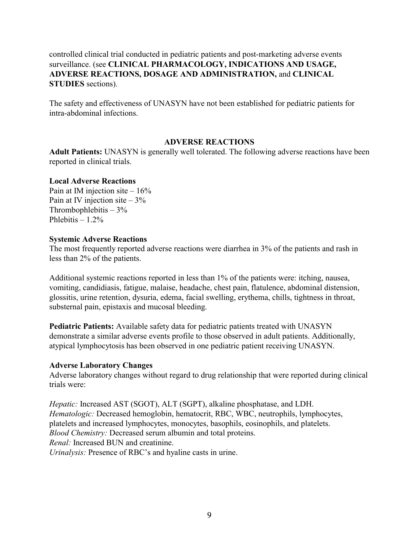controlled clinical trial conducted in pediatric patients and post-marketing adverse events surveillance. (see **CLINICAL PHARMACOLOGY, INDICATIONS AND USAGE, ADVERSE REACTIONS, DOSAGE AND ADMINISTRATION,** and **CLINICAL STUDIES** sections).

The safety and effectiveness of UNASYN have not been established for pediatric patients for intra-abdominal infections.

### **ADVERSE REACTIONS**

**Adult Patients:** UNASYN is generally well tolerated. The following adverse reactions have been reported in clinical trials.

#### **Local Adverse Reactions**

Pain at IM injection site  $-16\%$ Pain at IV injection site  $-3\%$ Thrombophlebitis  $-3\%$ Phlebitis  $-1.2%$ 

#### **Systemic Adverse Reactions**

The most frequently reported adverse reactions were diarrhea in 3% of the patients and rash in less than 2% of the patients.

Additional systemic reactions reported in less than 1% of the patients were: itching, nausea, vomiting, candidiasis, fatigue, malaise, headache, chest pain, flatulence, abdominal distension, glossitis, urine retention, dysuria, edema, facial swelling, erythema, chills, tightness in throat, substernal pain, epistaxis and mucosal bleeding.

**Pediatric Patients:** Available safety data for pediatric patients treated with UNASYN demonstrate a similar adverse events profile to those observed in adult patients. Additionally, atypical lymphocytosis has been observed in one pediatric patient receiving UNASYN.

#### **Adverse Laboratory Changes**

Adverse laboratory changes without regard to drug relationship that were reported during clinical trials were:

*Hepatic:* Increased AST (SGOT), ALT (SGPT), alkaline phosphatase, and LDH. *Hematologic:* Decreased hemoglobin, hematocrit, RBC, WBC, neutrophils, lymphocytes, platelets and increased lymphocytes, monocytes, basophils, eosinophils, and platelets. *Blood Chemistry:* Decreased serum albumin and total proteins. *Renal:* Increased BUN and creatinine. *Urinalysis:* Presence of RBC's and hyaline casts in urine.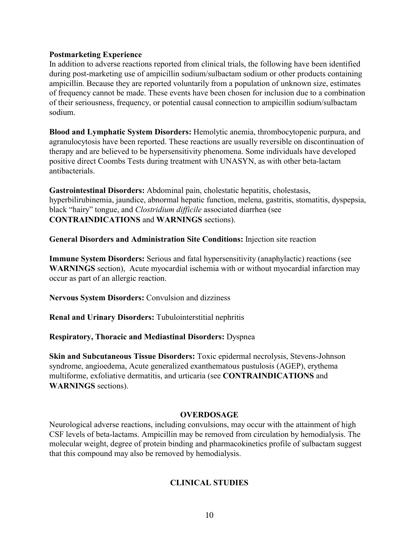### **Postmarketing Experience**

In addition to adverse reactions reported from clinical trials, the following have been identified during post-marketing use of ampicillin sodium/sulbactam sodium or other products containing ampicillin. Because they are reported voluntarily from a population of unknown size, estimates of frequency cannot be made. These events have been chosen for inclusion due to a combination of their seriousness, frequency, or potential causal connection to ampicillin sodium/sulbactam sodium.

**Blood and Lymphatic System Disorders:** Hemolytic anemia, thrombocytopenic purpura, and agranulocytosis have been reported. These reactions are usually reversible on discontinuation of therapy and are believed to be hypersensitivity phenomena. Some individuals have developed positive direct Coombs Tests during treatment with UNASYN, as with other beta-lactam antibacterials.

**Gastrointestinal Disorders:** Abdominal pain, cholestatic hepatitis, cholestasis, hyperbilirubinemia, jaundice, abnormal hepatic function, melena, gastritis, stomatitis, dyspepsia, black "hairy" tongue, and *Clostridium difficile* associated diarrhea (see **CONTRAINDICATIONS** and **WARNINGS** sections).

**General Disorders and Administration Site Conditions:** Injection site reaction

**Immune System Disorders:** Serious and fatal hypersensitivity (anaphylactic) reactions (see **WARNINGS** section), Acute myocardial ischemia with or without myocardial infarction may occur as part of an allergic reaction.

**Nervous System Disorders:** Convulsion and dizziness

**Renal and Urinary Disorders:** Tubulointerstitial nephritis

**Respiratory, Thoracic and Mediastinal Disorders:** Dyspnea

**Skin and Subcutaneous Tissue Disorders:** Toxic epidermal necrolysis, Stevens-Johnson syndrome, angioedema, Acute generalized exanthematous pustulosis (AGEP), erythema multiforme, exfoliative dermatitis, and urticaria (see **CONTRAINDICATIONS** and **WARNINGS** sections).

#### **OVERDOSAGE**

Neurological adverse reactions, including convulsions, may occur with the attainment of high CSF levels of beta-lactams. Ampicillin may be removed from circulation by hemodialysis. The molecular weight, degree of protein binding and pharmacokinetics profile of sulbactam suggest that this compound may also be removed by hemodialysis.

# **CLINICAL STUDIES**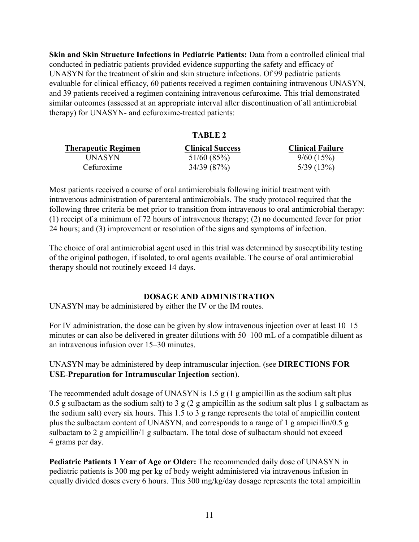**Skin and Skin Structure Infections in Pediatric Patients:** Data from a controlled clinical trial conducted in pediatric patients provided evidence supporting the safety and efficacy of UNASYN for the treatment of skin and skin structure infections. Of 99 pediatric patients evaluable for clinical efficacy, 60 patients received a regimen containing intravenous UNASYN, and 39 patients received a regimen containing intravenous cefuroxime. This trial demonstrated similar outcomes (assessed at an appropriate interval after discontinuation of all antimicrobial therapy) for UNASYN- and cefuroxime-treated patients:

|                     | TABLE 2                 |                         |
|---------------------|-------------------------|-------------------------|
| Therapeutic Regimen | <b>Clinical Success</b> | <b>Clinical Failure</b> |
| UNASYN              | 51/60(85%)              | 9/60(15%)               |
| Cefuroxime          | 34/39 (87%)             | 5/39(13%)               |

Most patients received a course of oral antimicrobials following initial treatment with intravenous administration of parenteral antimicrobials. The study protocol required that the following three criteria be met prior to transition from intravenous to oral antimicrobial therapy: (1) receipt of a minimum of 72 hours of intravenous therapy; (2) no documented fever for prior 24 hours; and (3) improvement or resolution of the signs and symptoms of infection.

The choice of oral antimicrobial agent used in this trial was determined by susceptibility testing of the original pathogen, if isolated, to oral agents available. The course of oral antimicrobial therapy should not routinely exceed 14 days.

### **DOSAGE AND ADMINISTRATION**

UNASYN may be administered by either the IV or the IM routes.

For IV administration, the dose can be given by slow intravenous injection over at least 10–15 minutes or can also be delivered in greater dilutions with 50–100 mL of a compatible diluent as an intravenous infusion over 15–30 minutes.

UNASYN may be administered by deep intramuscular injection. (see **DIRECTIONS FOR USE**-**Preparation for Intramuscular Injection** section).

The recommended adult dosage of UNASYN is 1.5 g (1 g ampicillin as the sodium salt plus 0.5 g sulbactam as the sodium salt) to 3 g (2 g ampicillin as the sodium salt plus 1 g sulbactam as the sodium salt) every six hours. This 1.5 to 3 g range represents the total of ampicillin content plus the sulbactam content of UNASYN, and corresponds to a range of 1 g ampicillin/0.5 g sulbactam to 2 g ampicillin/1 g sulbactam. The total dose of sulbactam should not exceed 4 grams per day.

**Pediatric Patients 1 Year of Age or Older:** The recommended daily dose of UNASYN in pediatric patients is 300 mg per kg of body weight administered via intravenous infusion in equally divided doses every 6 hours. This 300 mg/kg/day dosage represents the total ampicillin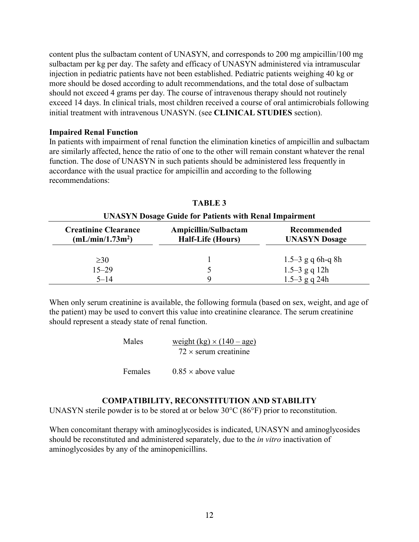content plus the sulbactam content of UNASYN, and corresponds to 200 mg ampicillin/100 mg sulbactam per kg per day. The safety and efficacy of UNASYN administered via intramuscular injection in pediatric patients have not been established. Pediatric patients weighing 40 kg or more should be dosed according to adult recommendations, and the total dose of sulbactam should not exceed 4 grams per day. The course of intravenous therapy should not routinely exceed 14 days. In clinical trials, most children received a course of oral antimicrobials following initial treatment with intravenous UNASYN. (see **CLINICAL STUDIES** section).

### **Impaired Renal Function**

In patients with impairment of renal function the elimination kinetics of ampicillin and sulbactam are similarly affected, hence the ratio of one to the other will remain constant whatever the renal function. The dose of UNASYN in such patients should be administered less frequently in accordance with the usual practice for ampicillin and according to the following recommendations:

| <b>UNASYN Dosage Guide for Patients with Renal Impairment</b> |                                                  |                                     |
|---------------------------------------------------------------|--------------------------------------------------|-------------------------------------|
| <b>Creatinine Clearance</b><br>(mL/min/1.73m <sup>2</sup> )   | Ampicillin/Sulbactam<br><b>Half-Life (Hours)</b> | Recommended<br><b>UNASYN</b> Dosage |
| $\geq 30$                                                     |                                                  | $1.5-3$ g q 6h-q 8h                 |
| $15 - 29$                                                     |                                                  | $1.5-3$ g q 12h                     |
| $5 - 14$                                                      |                                                  | $1.5 - 3$ g q 24h                   |

**TABLE 3**

When only serum creatinine is available, the following formula (based on sex, weight, and age of the patient) may be used to convert this value into creatinine clearance. The serum creatinine should represent a steady state of renal function.

| Males | weight $(kg) \times (140 - age)$ |
|-------|----------------------------------|
|       | $72 \times$ serum creatinine     |
|       |                                  |

Females  $0.85 \times$  above value

# **COMPATIBILITY, RECONSTITUTION AND STABILITY**

UNASYN sterile powder is to be stored at or below 30°C (86°F) prior to reconstitution.

When concomitant therapy with aminoglycosides is indicated, UNASYN and aminoglycosides should be reconstituted and administered separately, due to the *in vitro* inactivation of aminoglycosides by any of the aminopenicillins.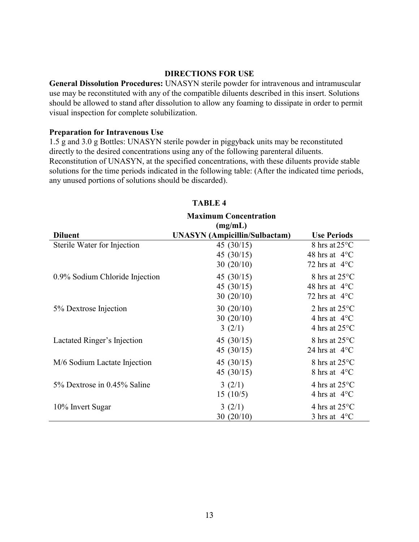#### **DIRECTIONS FOR USE**

**General Dissolution Procedures:** UNASYN sterile powder for intravenous and intramuscular use may be reconstituted with any of the compatible diluents described in this insert. Solutions should be allowed to stand after dissolution to allow any foaming to dissipate in order to permit visual inspection for complete solubilization.

#### **Preparation for Intravenous Use**

1.5 g and 3.0 g Bottles: UNASYN sterile powder in piggyback units may be reconstituted directly to the desired concentrations using any of the following parenteral diluents. Reconstitution of UNASYN, at the specified concentrations, with these diluents provide stable solutions for the time periods indicated in the following table: (After the indicated time periods, any unused portions of solutions should be discarded).

|                                | <b>Maximum Concentration</b><br>(mg/mL) |                         |
|--------------------------------|-----------------------------------------|-------------------------|
| <b>Diluent</b>                 | <b>UNASYN</b> (Ampicillin/Sulbactam)    | <b>Use Periods</b>      |
| Sterile Water for Injection    | 45 $(30/15)$                            | 8 hrs at $25^{\circ}$ C |
|                                | 45 $(30/15)$                            | 48 hrs at $4^{\circ}$ C |
|                                | 30(20/10)                               | 72 hrs at $4^{\circ}$ C |
| 0.9% Sodium Chloride Injection | 45 $(30/15)$                            | 8 hrs at 25°C           |
|                                | 45 $(30/15)$                            | 48 hrs at $4^{\circ}$ C |
|                                | 30(20/10)                               | 72 hrs at $4^{\circ}$ C |
| 5% Dextrose Injection          | 30(20/10)                               | 2 hrs at $25^{\circ}$ C |
|                                | 30(20/10)                               | 4 hrs at $4^{\circ}$ C  |
|                                | 3(2/1)                                  | 4 hrs at $25^{\circ}$ C |
| Lactated Ringer's Injection    | 45 $(30/15)$                            | 8 hrs at 25°C           |
|                                | 45 $(30/15)$                            | 24 hrs at $4^{\circ}$ C |
| M/6 Sodium Lactate Injection   | 45 $(30/15)$                            | 8 hrs at $25^{\circ}$ C |
|                                | 45 $(30/15)$                            | 8 hrs at $4^{\circ}$ C  |
| 5% Dextrose in 0.45% Saline    | 3(2/1)                                  | 4 hrs at $25^{\circ}$ C |
|                                | 15(10/5)                                | 4 hrs at $4^{\circ}$ C  |
| 10% Invert Sugar               | 3(2/1)                                  | 4 hrs at $25^{\circ}$ C |
|                                | 30(20/10)                               | 3 hrs at $4^{\circ}$ C  |

### **TABLE 4**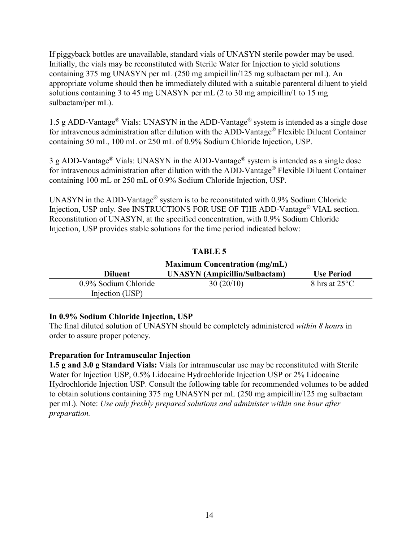If piggyback bottles are unavailable, standard vials of UNASYN sterile powder may be used. Initially, the vials may be reconstituted with Sterile Water for Injection to yield solutions containing 375 mg UNASYN per mL (250 mg ampicillin/125 mg sulbactam per mL). An appropriate volume should then be immediately diluted with a suitable parenteral diluent to yield solutions containing 3 to 45 mg UNASYN per mL (2 to 30 mg ampicillin/1 to 15 mg sulbactam/per mL).

1.5 g ADD-Vantage® Vials: UNASYN in the ADD-Vantage® system is intended as a single dose for intravenous administration after dilution with the ADD-Vantage® Flexible Diluent Container containing 50 mL, 100 mL or 250 mL of 0.9% Sodium Chloride Injection, USP.

3 g ADD-Vantage® Vials: UNASYN in the ADD-Vantage® system is intended as a single dose for intravenous administration after dilution with the ADD-Vantage® Flexible Diluent Container containing 100 mL or 250 mL of 0.9% Sodium Chloride Injection, USP.

UNASYN in the ADD-Vantage® system is to be reconstituted with 0.9% Sodium Chloride Injection, USP only. See INSTRUCTIONS FOR USE OF THE ADD-Vantage® VIAL section. Reconstitution of UNASYN, at the specified concentration, with 0.9% Sodium Chloride Injection, USP provides stable solutions for the time period indicated below:

# **TABLE 5**

| <b>Maximum Concentration (mg/mL)</b>    |                                      |                         |
|-----------------------------------------|--------------------------------------|-------------------------|
| <b>Diluent</b>                          | <b>UNASYN</b> (Ampicillin/Sulbactam) | <b>Use Period</b>       |
| 0.9% Sodium Chloride<br>Injection (USP) | 30(20/10)                            | 8 hrs at $25^{\circ}$ C |

### **In 0.9% Sodium Chloride Injection, USP**

The final diluted solution of UNASYN should be completely administered *within 8 hours* in order to assure proper potency.

# **Preparation for Intramuscular Injection**

**1.5 g and 3.0 g Standard Vials:** Vials for intramuscular use may be reconstituted with Sterile Water for Injection USP, 0.5% Lidocaine Hydrochloride Injection USP or 2% Lidocaine Hydrochloride Injection USP. Consult the following table for recommended volumes to be added to obtain solutions containing 375 mg UNASYN per mL (250 mg ampicillin/125 mg sulbactam per mL). Note: *Use only freshly prepared solutions and administer within one hour after preparation.*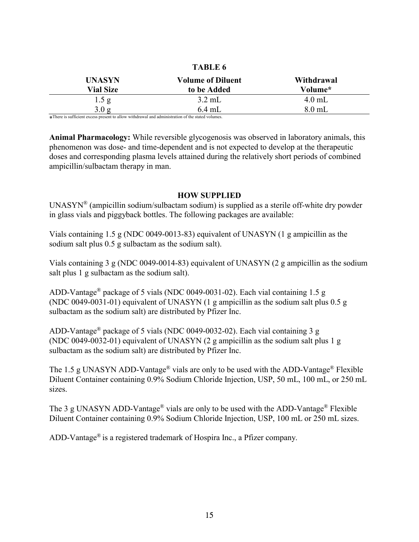|                                                                                                                                                                                                                                | TABLE 6                  |            |
|--------------------------------------------------------------------------------------------------------------------------------------------------------------------------------------------------------------------------------|--------------------------|------------|
| <b>UNASYN</b>                                                                                                                                                                                                                  | <b>Volume of Diluent</b> | Withdrawal |
| <b>Vial Size</b>                                                                                                                                                                                                               | to be Added              | Volume*    |
| 1.5 g                                                                                                                                                                                                                          | $3.2 \text{ mL}$         | $4.0$ mL   |
| 3.0 g                                                                                                                                                                                                                          | $6.4$ mL                 | $8.0$ mL   |
| where the contract is a construction of the contract of the contract of the contract of the contract of the contract of the contract of the contract of the contract of the contract of the contract of the contract of the co |                          |            |

 $T_{\rm max}$ 

\* There is sufficient excess present to allow withdrawal and administration of the stated volumes.

**Animal Pharmacology:** While reversible glycogenosis was observed in laboratory animals, this phenomenon was dose- and time-dependent and is not expected to develop at the therapeutic doses and corresponding plasma levels attained during the relatively short periods of combined ampicillin/sulbactam therapy in man.

#### **HOW SUPPLIED**

UNASYN® (ampicillin sodium/sulbactam sodium) is supplied as a sterile off-white dry powder in glass vials and piggyback bottles. The following packages are available:

Vials containing 1.5 g (NDC 0049-0013-83) equivalent of UNASYN (1 g ampicillin as the sodium salt plus 0.5 g sulbactam as the sodium salt).

Vials containing 3 g (NDC 0049-0014-83) equivalent of UNASYN (2 g ampicillin as the sodium salt plus 1 g sulbactam as the sodium salt).

ADD-Vantage® package of 5 vials (NDC 0049-0031-02). Each vial containing 1.5 g (NDC 0049-0031-01) equivalent of UNASYN (1 g ampicillin as the sodium salt plus 0.5 g sulbactam as the sodium salt) are distributed by Pfizer Inc.

ADD-Vantage® package of 5 vials (NDC 0049-0032-02). Each vial containing 3 g (NDC 0049-0032-01) equivalent of UNASYN (2 g ampicillin as the sodium salt plus 1 g sulbactam as the sodium salt) are distributed by Pfizer Inc.

The 1.5 g UNASYN ADD-Vantage<sup>®</sup> vials are only to be used with the ADD-Vantage<sup>®</sup> Flexible Diluent Container containing 0.9% Sodium Chloride Injection, USP, 50 mL, 100 mL, or 250 mL sizes.

The 3 g UNASYN ADD-Vantage<sup>®</sup> vials are only to be used with the ADD-Vantage<sup>®</sup> Flexible Diluent Container containing 0.9% Sodium Chloride Injection, USP, 100 mL or 250 mL sizes.

ADD-Vantage® is a registered trademark of Hospira Inc., a Pfizer company.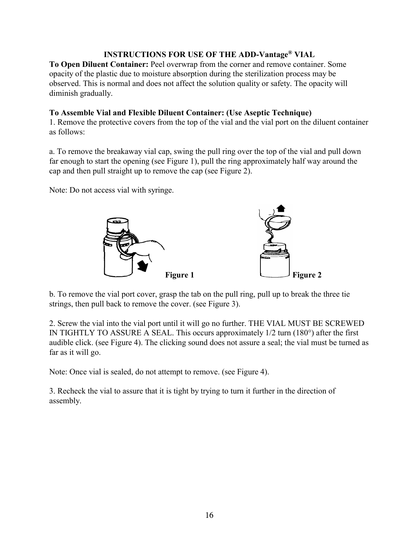# **INSTRUCTIONS FOR USE OF THE ADD-Vantage® VIAL**

**To Open Diluent Container:** Peel overwrap from the corner and remove container. Some opacity of the plastic due to moisture absorption during the sterilization process may be observed. This is normal and does not affect the solution quality or safety. The opacity will diminish gradually.

# **To Assemble Vial and Flexible Diluent Container: (Use Aseptic Technique)**

1. Remove the protective covers from the top of the vial and the vial port on the diluent container as follows:

a. To remove the breakaway vial cap, swing the pull ring over the top of the vial and pull down far enough to start the opening (see Figure 1), pull the ring approximately half way around the cap and then pull straight up to remove the cap (see Figure 2).

Note: Do not access vial with syringe.



b. To remove the vial port cover, grasp the tab on the pull ring, pull up to break the three tie strings, then pull back to remove the cover. (see Figure 3).

2. Screw the vial into the vial port until it will go no further. THE VIAL MUST BE SCREWED IN TIGHTLY TO ASSURE A SEAL. This occurs approximately 1/2 turn (180°) after the first audible click. (see Figure 4). The clicking sound does not assure a seal; the vial must be turned as far as it will go.

Note: Once vial is sealed, do not attempt to remove. (see Figure 4).

3. Recheck the vial to assure that it is tight by trying to turn it further in the direction of assembly.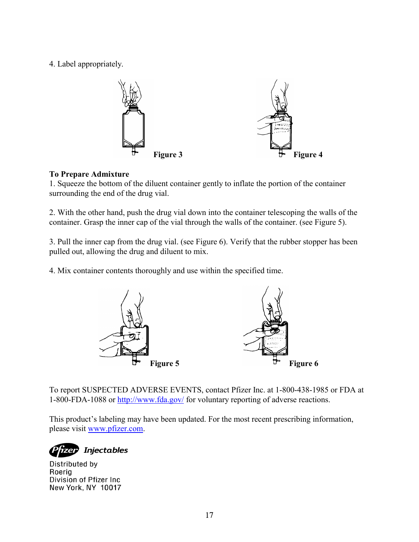4. Label appropriately.



# **To Prepare Admixture**

1. Squeeze the bottom of the diluent container gently to inflate the portion of the container surrounding the end of the drug vial.

2. With the other hand, push the drug vial down into the container telescoping the walls of the container. Grasp the inner cap of the vial through the walls of the container. (see Figure 5).

3. Pull the inner cap from the drug vial. (see Figure 6). Verify that the rubber stopper has been pulled out, allowing the drug and diluent to mix.

4. Mix container contents thoroughly and use within the specified time.



To report SUSPECTED ADVERSE EVENTS, contact Pfizer Inc. at 1-800-438-1985 or FDA at 1-800-FDA-1088 or <http://www.fda.gov/> for voluntary reporting of adverse reactions.

This product's labeling may have been updated. For the most recent prescribing information, please visit [www.pfizer.com](http://www.pfizer.com/).

**Injectables** 

Distributed by Roeria Division of Pfizer Inc New York, NY 10017